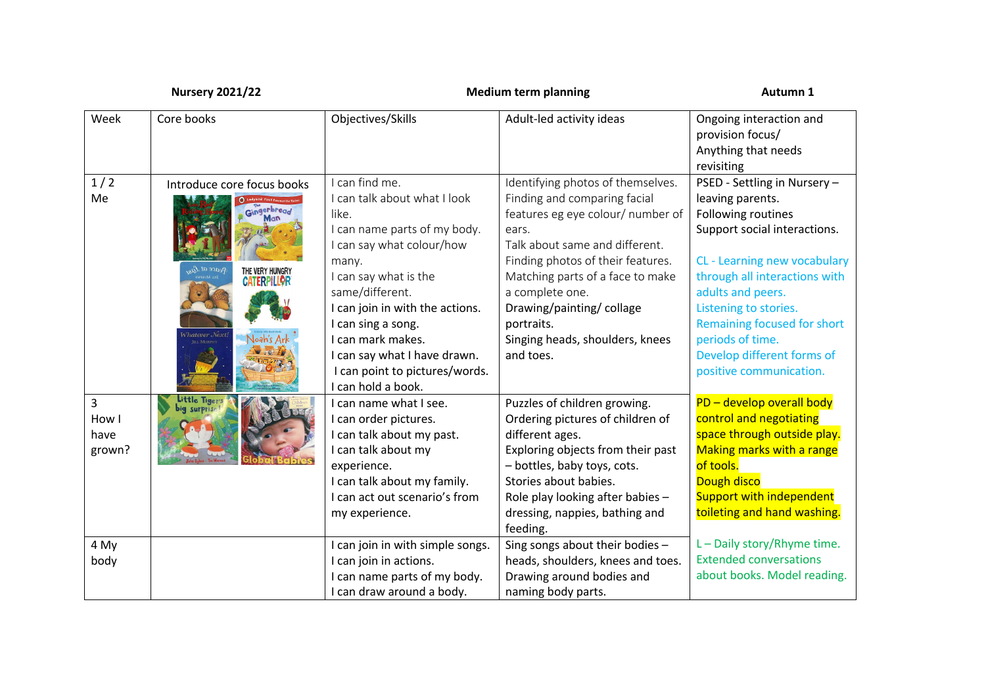| <b>Nursery 2021/22</b>                    |                                                                                                    | <b>Medium term planning</b>                                                                                                                                                                                                                                                                                                                 |                                                                                                                                                                                                                                                                                                                                         | Autumn 1                                                                                                                                                                                                                                                                                                                          |  |
|-------------------------------------------|----------------------------------------------------------------------------------------------------|---------------------------------------------------------------------------------------------------------------------------------------------------------------------------------------------------------------------------------------------------------------------------------------------------------------------------------------------|-----------------------------------------------------------------------------------------------------------------------------------------------------------------------------------------------------------------------------------------------------------------------------------------------------------------------------------------|-----------------------------------------------------------------------------------------------------------------------------------------------------------------------------------------------------------------------------------------------------------------------------------------------------------------------------------|--|
| Week                                      | Core books                                                                                         | Objectives/Skills                                                                                                                                                                                                                                                                                                                           | Adult-led activity ideas                                                                                                                                                                                                                                                                                                                | Ongoing interaction and<br>provision focus/<br>Anything that needs<br>revisiting                                                                                                                                                                                                                                                  |  |
| 1/2<br>Me                                 | Introduce core focus books<br>Singerbread<br>THE VERY HUNGRY<br><b>CATERPILLOR</b><br>Vhatever Nex | can find me.<br>I can talk about what I look<br>like.<br>I can name parts of my body.<br>I can say what colour/how<br>many.<br>I can say what is the<br>same/different.<br>I can join in with the actions.<br>I can sing a song.<br>I can mark makes.<br>I can say what I have drawn.<br>I can point to pictures/words.<br>can hold a book. | Identifying photos of themselves.<br>Finding and comparing facial<br>features eg eye colour/ number of<br>ears.<br>Talk about same and different.<br>Finding photos of their features.<br>Matching parts of a face to make<br>a complete one.<br>Drawing/painting/collage<br>portraits.<br>Singing heads, shoulders, knees<br>and toes. | PSED - Settling in Nursery -<br>leaving parents.<br>Following routines<br>Support social interactions.<br>CL - Learning new vocabulary<br>through all interactions with<br>adults and peers.<br>Listening to stories.<br>Remaining focused for short<br>periods of time.<br>Develop different forms of<br>positive communication. |  |
| $\overline{3}$<br>How I<br>have<br>grown? | Little Tiger                                                                                       | can name what I see.<br>I can order pictures.<br>I can talk about my past.<br>I can talk about my<br>experience.<br>I can talk about my family.<br>I can act out scenario's from<br>my experience.                                                                                                                                          | Puzzles of children growing.<br>Ordering pictures of children of<br>different ages.<br>Exploring objects from their past<br>- bottles, baby toys, cots.<br>Stories about babies.<br>Role play looking after babies -<br>dressing, nappies, bathing and<br>feeding.                                                                      | PD - develop overall body<br>control and negotiating<br>space through outside play.<br><b>Making marks with a range</b><br>of tools.<br>Dough disco<br>Support with independent<br>toileting and hand washing.                                                                                                                    |  |
| 4 My<br>body                              |                                                                                                    | I can join in with simple songs.<br>I can join in actions.<br>I can name parts of my body.<br>I can draw around a body.                                                                                                                                                                                                                     | Sing songs about their bodies -<br>heads, shoulders, knees and toes.<br>Drawing around bodies and<br>naming body parts.                                                                                                                                                                                                                 | L - Daily story/Rhyme time.<br><b>Extended conversations</b><br>about books. Model reading.                                                                                                                                                                                                                                       |  |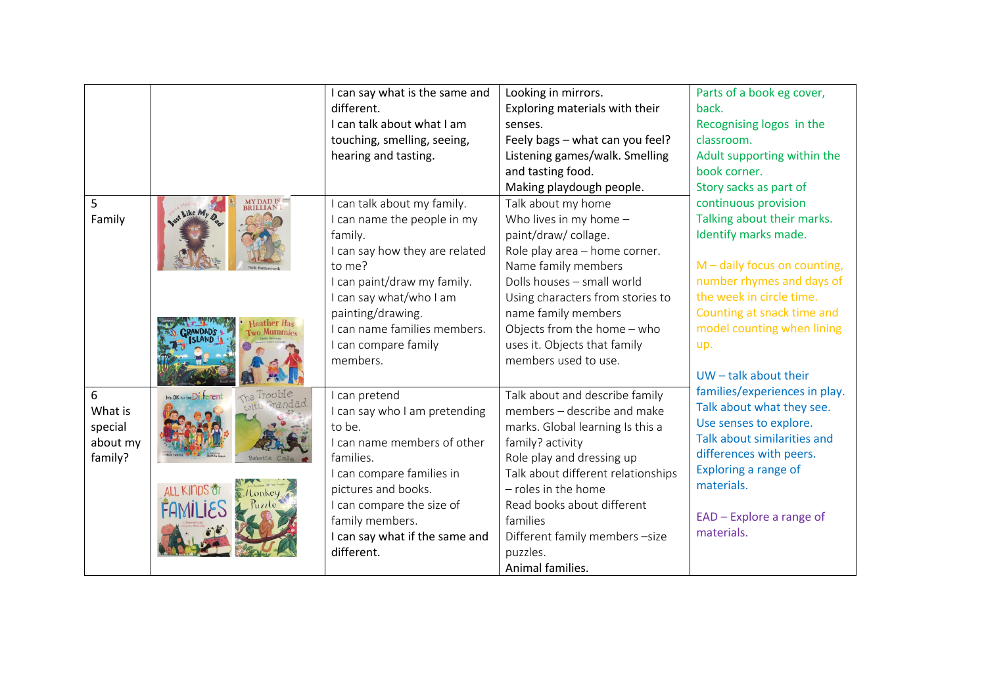|          |                                           | I can say what is the same and | Looking in mirrors.                | Parts of a book eg cover,      |
|----------|-------------------------------------------|--------------------------------|------------------------------------|--------------------------------|
|          |                                           | different.                     | Exploring materials with their     | back.                          |
|          |                                           | I can talk about what I am     | senses.                            | Recognising logos in the       |
|          |                                           | touching, smelling, seeing,    | Feely bags - what can you feel?    | classroom.                     |
|          |                                           | hearing and tasting.           | Listening games/walk. Smelling     | Adult supporting within the    |
|          |                                           |                                | and tasting food.                  | book corner.                   |
|          |                                           |                                | Making playdough people.           | Story sacks as part of         |
| 5        | <b>MY DAD IS</b><br><b>BRILLIAN</b>       | can talk about my family.      | Talk about my home                 | continuous provision           |
| Family   | of Like My D                              | can name the people in my      | Who lives in my home $-$           | Talking about their marks.     |
|          |                                           | family.                        | paint/draw/ collage.               | Identify marks made.           |
|          |                                           | I can say how they are related | Role play area - home corner.      |                                |
|          |                                           | to me?                         | Name family members                | $M$ – daily focus on counting, |
|          |                                           | I can paint/draw my family.    | Dolls houses - small world         | number rhymes and days of      |
|          |                                           | I can say what/who I am        | Using characters from stories to   | the week in circle time.       |
|          |                                           | painting/drawing.              | name family members                | Counting at snack time and     |
|          |                                           | I can name families members.   | Objects from the home - who        | model counting when lining     |
|          |                                           | I can compare family           | uses it. Objects that family       | up.                            |
|          |                                           | members.                       | members used to use.               |                                |
|          |                                           |                                |                                    | $UW -$ talk about their        |
| 6        | <b>It's OK</b> to be Different<br>Irouble | can pretend                    | Talk about and describe family     | families/experiences in play.  |
| What is  |                                           | can say who I am pretending    | members - describe and make        | Talk about what they see.      |
| special  |                                           | to be.                         | marks. Global learning Is this a   | Use senses to explore.         |
| about my |                                           | I can name members of other    | family? activity                   | Talk about similarities and    |
| family?  |                                           | families.                      | Role play and dressing up          | differences with peers.        |
|          |                                           | I can compare families in      | Talk about different relationships | Exploring a range of           |
|          |                                           | pictures and books.            | $-$ roles in the home              | materials.                     |
|          |                                           | can compare the size of        | Read books about different         |                                |
|          |                                           | family members.                | families                           | EAD - Explore a range of       |
|          |                                           | I can say what if the same and | Different family members -size     | materials.                     |
|          |                                           | different.                     | puzzles.                           |                                |
|          |                                           |                                | Animal families.                   |                                |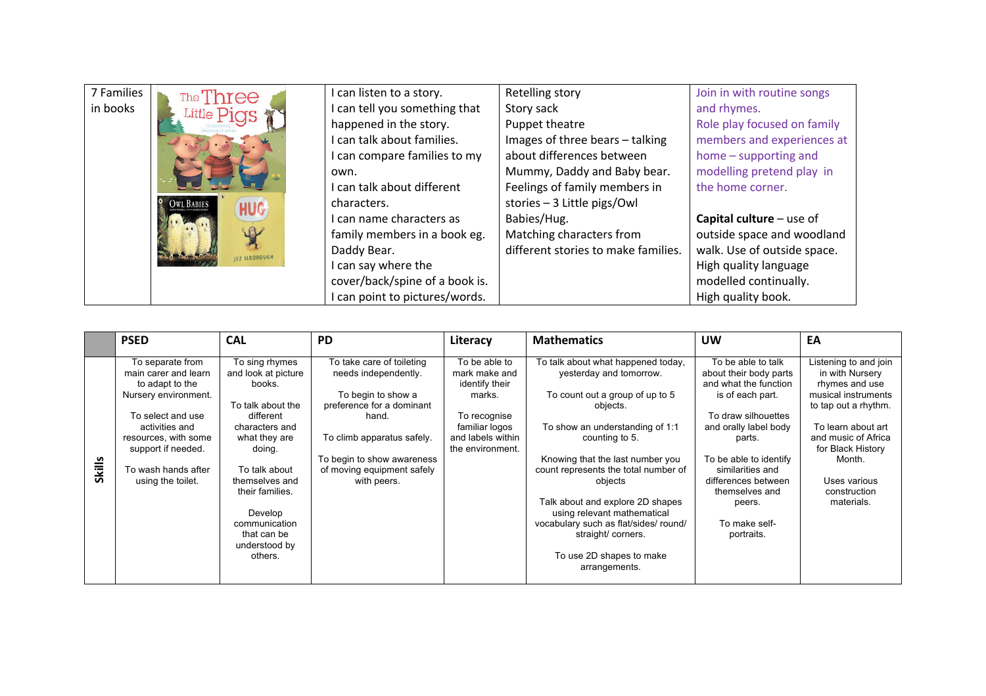| 7 Families | The Three                               | can listen to a story.         | Retelling story                     | Join in with routine songs  |
|------------|-----------------------------------------|--------------------------------|-------------------------------------|-----------------------------|
| in books   | Little Pigs                             | can tell you something that    | Story sack                          | and rhymes.                 |
|            |                                         | happened in the story.         | Puppet theatre                      | Role play focused on family |
|            |                                         | can talk about families.       | Images of three bears - talking     | members and experiences at  |
|            |                                         | can compare families to my     | about differences between           | home - supporting and       |
|            |                                         | own.                           | Mummy, Daddy and Baby bear.         | modelling pretend play in   |
|            |                                         | can talk about different       | Feelings of family members in       | the home corner.            |
|            | <b>OWL BABIES</b><br><b>HUG</b>         | characters.                    | stories - 3 Little pigs/Owl         |                             |
|            |                                         | can name characters as         | Babies/Hug.                         | Capital culture $-$ use of  |
|            |                                         | family members in a book eg.   | Matching characters from            | outside space and woodland  |
|            | <b>Marchant</b><br><b>IEZ ALBOROUGH</b> | Daddy Bear.                    | different stories to make families. | walk. Use of outside space. |
|            |                                         | I can say where the            |                                     | High quality language       |
|            |                                         | cover/back/spine of a book is. |                                     | modelled continually.       |
|            |                                         | can point to pictures/words.   |                                     | High quality book.          |

|               | <b>PSED</b>                                                                                                                                                                                                          | <b>CAL</b>                                                                                                                                                                                                                                                  | <b>PD</b>                                                                                                                                                                                                              | Literacy                                                                                                                              | <b>Mathematics</b>                                                                                                                                                                                                                                                                                                                                                                                                                     | <b>UW</b>                                                                                                                                                                                                                                                                           | EA                                                                                                                                                                                                                                  |
|---------------|----------------------------------------------------------------------------------------------------------------------------------------------------------------------------------------------------------------------|-------------------------------------------------------------------------------------------------------------------------------------------------------------------------------------------------------------------------------------------------------------|------------------------------------------------------------------------------------------------------------------------------------------------------------------------------------------------------------------------|---------------------------------------------------------------------------------------------------------------------------------------|----------------------------------------------------------------------------------------------------------------------------------------------------------------------------------------------------------------------------------------------------------------------------------------------------------------------------------------------------------------------------------------------------------------------------------------|-------------------------------------------------------------------------------------------------------------------------------------------------------------------------------------------------------------------------------------------------------------------------------------|-------------------------------------------------------------------------------------------------------------------------------------------------------------------------------------------------------------------------------------|
| <b>Skills</b> | To separate from<br>main carer and learn<br>to adapt to the<br>Nursery environment.<br>To select and use<br>activities and<br>resources, with some<br>support if needed.<br>To wash hands after<br>using the toilet. | To sing rhymes<br>and look at picture<br>books.<br>To talk about the<br>different<br>characters and<br>what they are<br>doing.<br>To talk about<br>themselves and<br>their families.<br>Develop<br>communication<br>that can be<br>understood by<br>others. | To take care of toileting<br>needs independently.<br>To begin to show a<br>preference for a dominant<br>hand.<br>To climb apparatus safely.<br>To begin to show awareness<br>of moving equipment safely<br>with peers. | To be able to<br>mark make and<br>identify their<br>marks.<br>To recognise<br>familiar logos<br>and labels within<br>the environment. | To talk about what happened today,<br>yesterday and tomorrow.<br>To count out a group of up to 5<br>objects.<br>To show an understanding of 1:1<br>counting to 5.<br>Knowing that the last number you<br>count represents the total number of<br>objects<br>Talk about and explore 2D shapes<br>using relevant mathematical<br>vocabulary such as flat/sides/ round/<br>straight/corners.<br>To use 2D shapes to make<br>arrangements. | To be able to talk<br>about their body parts<br>and what the function<br>is of each part.<br>To draw silhouettes<br>and orally label body<br>parts.<br>To be able to identify<br>similarities and<br>differences between<br>themselves and<br>peers.<br>To make self-<br>portraits. | Listening to and join<br>in with Nursery<br>rhymes and use<br>musical instruments<br>to tap out a rhythm.<br>To learn about art<br>and music of Africa<br>for Black History<br>Month.<br>Uses various<br>construction<br>materials. |